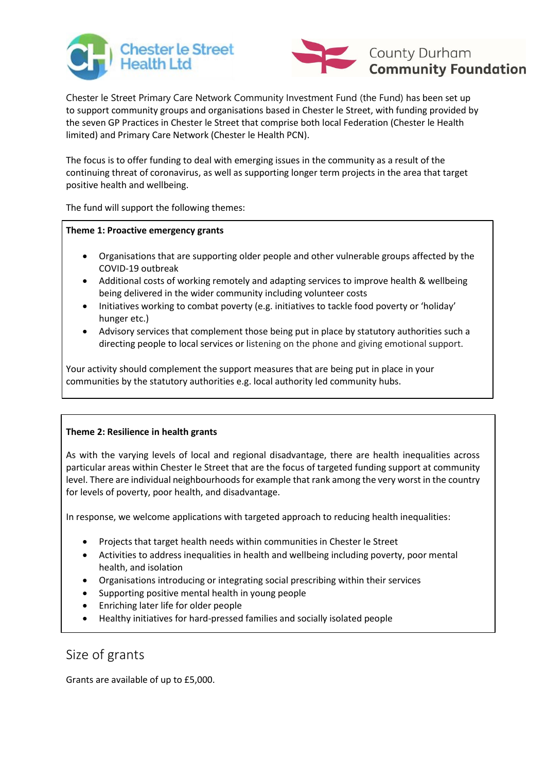



Chester le Street Primary Care Network Community Investment Fund (the Fund) has been set up to support community groups and organisations based in Chester le Street, with funding provided by the seven GP Practices in Chester le Street that comprise both local Federation (Chester le Health limited) and Primary Care Network (Chester le Health PCN).

The focus is to offer funding to deal with emerging issues in the community as a result of the continuing threat of coronavirus, as well as supporting longer term projects in the area that target positive health and wellbeing.

The fund will support the following themes:

#### **Theme 1: Proactive emergency grants**

- Organisations that are supporting older people and other vulnerable groups affected by the COVID-19 outbreak
- Additional costs of working remotely and adapting services to improve health & wellbeing being delivered in the wider community including volunteer costs
- Initiatives working to combat poverty (e.g. initiatives to tackle food poverty or 'holiday' hunger etc.)
- Advisory services that complement those being put in place by statutory authorities such a directing people to local services or listening on the phone and giving emotional support.

Your activity should complement the support measures that are being put in place in your communities by the statutory authorities e.g. local authority led community hubs.

#### **Theme 2: Resilience in health grants**

As with the varying levels of local and regional disadvantage, there are health inequalities across particular areas within Chester le Street that are the focus of targeted funding support at community level. There are individual neighbourhoods for example that rank among the very worst in the country for levels of poverty, poor health, and disadvantage.

In response, we welcome applications with targeted approach to reducing health inequalities:

- Projects that target health needs within communities in Chester le Street
- Activities to address inequalities in health and wellbeing including poverty, poor mental health, and isolation
- Organisations introducing or integrating social prescribing within their services
- Supporting positive mental health in young people
- Enriching later life for older people
- Healthy initiatives for hard-pressed families and socially isolated people

# Size of grants

Grants are available of up to £5,000.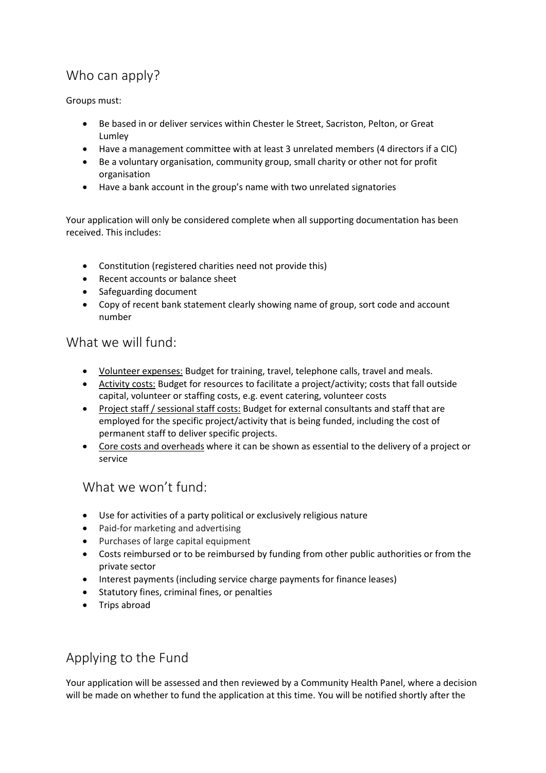# Who can apply?

Groups must:

- Be based in or deliver services within Chester le Street, Sacriston, Pelton, or Great Lumley
- Have a management committee with at least 3 unrelated members (4 directors if a CIC)
- Be a voluntary organisation, community group, small charity or other not for profit organisation
- Have a bank account in the group's name with two unrelated signatories

Your application will only be considered complete when all supporting documentation has been received. This includes:

- Constitution (registered charities need not provide this)
- Recent accounts or balance sheet
- Safeguarding document
- Copy of recent bank statement clearly showing name of group, sort code and account number

### What we will fund:

- Volunteer expenses: Budget for training, travel, telephone calls, travel and meals.
- Activity costs: Budget for resources to facilitate a project/activity; costs that fall outside capital, volunteer or staffing costs, e.g. event catering, volunteer costs
- Project staff / sessional staff costs: Budget for external consultants and staff that are employed for the specific project/activity that is being funded, including the cost of permanent staff to deliver specific projects.
- Core costs and overheads where it can be shown as essential to the delivery of a project or service

### What we won't fund:

- Use for activities of a party political or exclusively religious nature
- Paid-for marketing and advertising
- Purchases of large capital equipment
- Costs reimbursed or to be reimbursed by funding from other public authorities or from the private sector
- Interest payments (including service charge payments for finance leases)
- Statutory fines, criminal fines, or penalties
- Trips abroad

## Applying to the Fund

Your application will be assessed and then reviewed by a Community Health Panel, where a decision will be made on whether to fund the application at this time. You will be notified shortly after the